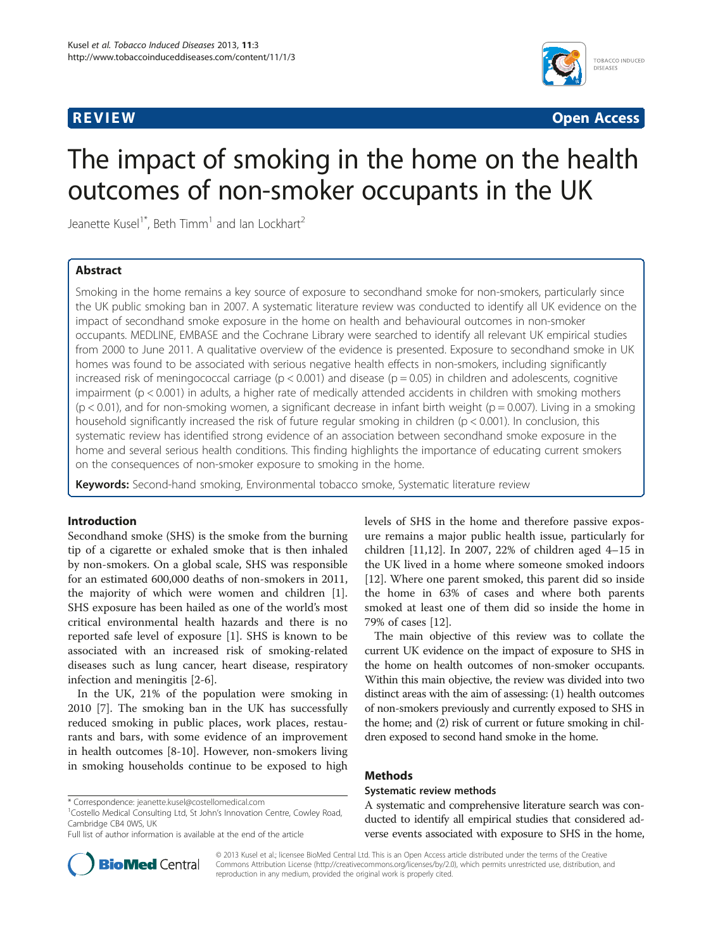

**REVIEW REVIEW CONSTRUCTION** 

# The impact of smoking in the home on the health outcomes of non-smoker occupants in the UK

Jeanette Kusel<sup>1\*</sup>, Beth Timm<sup>1</sup> and Ian Lockhart<sup>2</sup>

# Abstract

Smoking in the home remains a key source of exposure to secondhand smoke for non-smokers, particularly since the UK public smoking ban in 2007. A systematic literature review was conducted to identify all UK evidence on the impact of secondhand smoke exposure in the home on health and behavioural outcomes in non-smoker occupants. MEDLINE, EMBASE and the Cochrane Library were searched to identify all relevant UK empirical studies from 2000 to June 2011. A qualitative overview of the evidence is presented. Exposure to secondhand smoke in UK homes was found to be associated with serious negative health effects in non-smokers, including significantly increased risk of meningococcal carriage ( $p < 0.001$ ) and disease ( $p = 0.05$ ) in children and adolescents, cognitive impairment (p < 0.001) in adults, a higher rate of medically attended accidents in children with smoking mothers  $(p < 0.01)$ , and for non-smoking women, a significant decrease in infant birth weight  $(p = 0.007)$ . Living in a smoking household significantly increased the risk of future regular smoking in children (p < 0.001). In conclusion, this systematic review has identified strong evidence of an association between secondhand smoke exposure in the home and several serious health conditions. This finding highlights the importance of educating current smokers on the consequences of non-smoker exposure to smoking in the home.

Keywords: Second-hand smoking, Environmental tobacco smoke, Systematic literature review

## Introduction

Secondhand smoke (SHS) is the smoke from the burning tip of a cigarette or exhaled smoke that is then inhaled by non-smokers. On a global scale, SHS was responsible for an estimated 600,000 deaths of non-smokers in 2011, the majority of which were women and children [\[1](#page-8-0)]. SHS exposure has been hailed as one of the world's most critical environmental health hazards and there is no reported safe level of exposure [\[1](#page-8-0)]. SHS is known to be associated with an increased risk of smoking-related diseases such as lung cancer, heart disease, respiratory infection and meningitis [\[2](#page-8-0)-[6\]](#page-8-0).

In the UK, 21% of the population were smoking in 2010 [[7\]](#page-8-0). The smoking ban in the UK has successfully reduced smoking in public places, work places, restaurants and bars, with some evidence of an improvement in health outcomes [[8](#page-8-0)[-10](#page-9-0)]. However, non-smokers living in smoking households continue to be exposed to high

\* Correspondence: [jeanette.kusel@costellomedical.com](mailto:jeanette.kusel@costellomedical.com) <sup>1</sup>

<sup>1</sup>Costello Medical Consulting Ltd, St John's Innovation Centre, Cowley Road, Cambridge CB4 0WS, UK

Full list of author information is available at the end of the article

levels of SHS in the home and therefore passive exposure remains a major public health issue, particularly for children [\[11,12\]](#page-9-0). In 2007, 22% of children aged 4–15 in the UK lived in a home where someone smoked indoors [[12\]](#page-9-0). Where one parent smoked, this parent did so inside the home in 63% of cases and where both parents smoked at least one of them did so inside the home in 79% of cases [\[12\]](#page-9-0).

The main objective of this review was to collate the current UK evidence on the impact of exposure to SHS in the home on health outcomes of non-smoker occupants. Within this main objective, the review was divided into two distinct areas with the aim of assessing: (1) health outcomes of non-smokers previously and currently exposed to SHS in the home; and (2) risk of current or future smoking in children exposed to second hand smoke in the home.

# Methods

#### Systematic review methods

A systematic and comprehensive literature search was conducted to identify all empirical studies that considered adverse events associated with exposure to SHS in the home,



© 2013 Kusel et al.; licensee BioMed Central Ltd. This is an Open Access article distributed under the terms of the Creative Commons Attribution License [\(http://creativecommons.org/licenses/by/2.0\)](http://creativecommons.org/licenses/by/2.0), which permits unrestricted use, distribution, and reproduction in any medium, provided the original work is properly cited.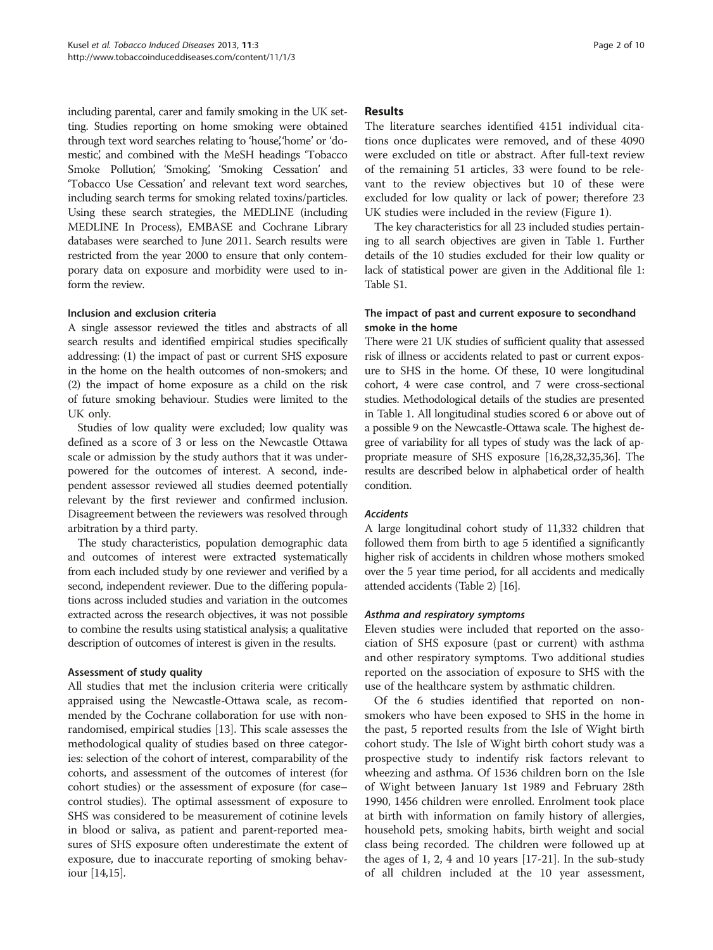including parental, carer and family smoking in the UK setting. Studies reporting on home smoking were obtained through text word searches relating to 'house,' 'home' or 'domestic, and combined with the MeSH headings 'Tobacco Smoke Pollution,' 'Smoking,' 'Smoking Cessation' and 'Tobacco Use Cessation' and relevant text word searches, including search terms for smoking related toxins/particles. Using these search strategies, the MEDLINE (including MEDLINE In Process), EMBASE and Cochrane Library databases were searched to June 2011. Search results were restricted from the year 2000 to ensure that only contemporary data on exposure and morbidity were used to inform the review.

#### Inclusion and exclusion criteria

A single assessor reviewed the titles and abstracts of all search results and identified empirical studies specifically addressing: (1) the impact of past or current SHS exposure in the home on the health outcomes of non-smokers; and (2) the impact of home exposure as a child on the risk of future smoking behaviour. Studies were limited to the UK only.

Studies of low quality were excluded; low quality was defined as a score of 3 or less on the Newcastle Ottawa scale or admission by the study authors that it was underpowered for the outcomes of interest. A second, independent assessor reviewed all studies deemed potentially relevant by the first reviewer and confirmed inclusion. Disagreement between the reviewers was resolved through arbitration by a third party.

The study characteristics, population demographic data and outcomes of interest were extracted systematically from each included study by one reviewer and verified by a second, independent reviewer. Due to the differing populations across included studies and variation in the outcomes extracted across the research objectives, it was not possible to combine the results using statistical analysis; a qualitative description of outcomes of interest is given in the results.

## Assessment of study quality

All studies that met the inclusion criteria were critically appraised using the Newcastle-Ottawa scale, as recommended by the Cochrane collaboration for use with nonrandomised, empirical studies [[13](#page-9-0)]. This scale assesses the methodological quality of studies based on three categories: selection of the cohort of interest, comparability of the cohorts, and assessment of the outcomes of interest (for cohort studies) or the assessment of exposure (for case– control studies). The optimal assessment of exposure to SHS was considered to be measurement of cotinine levels in blood or saliva, as patient and parent-reported measures of SHS exposure often underestimate the extent of exposure, due to inaccurate reporting of smoking behaviour [[14,15](#page-9-0)].

#### Results

The literature searches identified 4151 individual citations once duplicates were removed, and of these 4090 were excluded on title or abstract. After full-text review of the remaining 51 articles, 33 were found to be relevant to the review objectives but 10 of these were excluded for low quality or lack of power; therefore 23 UK studies were included in the review (Figure [1\)](#page-2-0).

The key characteristics for all 23 included studies pertaining to all search objectives are given in Table [1.](#page-3-0) Further details of the 10 studies excluded for their low quality or lack of statistical power are given in the Additional file [1](#page-8-0): Table S1.

## The impact of past and current exposure to secondhand smoke in the home

There were 21 UK studies of sufficient quality that assessed risk of illness or accidents related to past or current exposure to SHS in the home. Of these, 10 were longitudinal cohort, 4 were case control, and 7 were cross-sectional studies. Methodological details of the studies are presented in Table [1.](#page-3-0) All longitudinal studies scored 6 or above out of a possible 9 on the Newcastle-Ottawa scale. The highest degree of variability for all types of study was the lack of appropriate measure of SHS exposure [\[16,28,32,35,36](#page-9-0)]. The results are described below in alphabetical order of health condition.

## Accidents

A large longitudinal cohort study of 11,332 children that followed them from birth to age 5 identified a significantly higher risk of accidents in children whose mothers smoked over the 5 year time period, for all accidents and medically attended accidents (Table [2\)](#page-5-0) [\[16\]](#page-9-0).

## Asthma and respiratory symptoms

Eleven studies were included that reported on the association of SHS exposure (past or current) with asthma and other respiratory symptoms. Two additional studies reported on the association of exposure to SHS with the use of the healthcare system by asthmatic children.

Of the 6 studies identified that reported on nonsmokers who have been exposed to SHS in the home in the past, 5 reported results from the Isle of Wight birth cohort study. The Isle of Wight birth cohort study was a prospective study to indentify risk factors relevant to wheezing and asthma. Of 1536 children born on the Isle of Wight between January 1st 1989 and February 28th 1990, 1456 children were enrolled. Enrolment took place at birth with information on family history of allergies, household pets, smoking habits, birth weight and social class being recorded. The children were followed up at the ages of 1, 2, 4 and 10 years [\[17](#page-9-0)-[21](#page-9-0)]. In the sub-study of all children included at the 10 year assessment,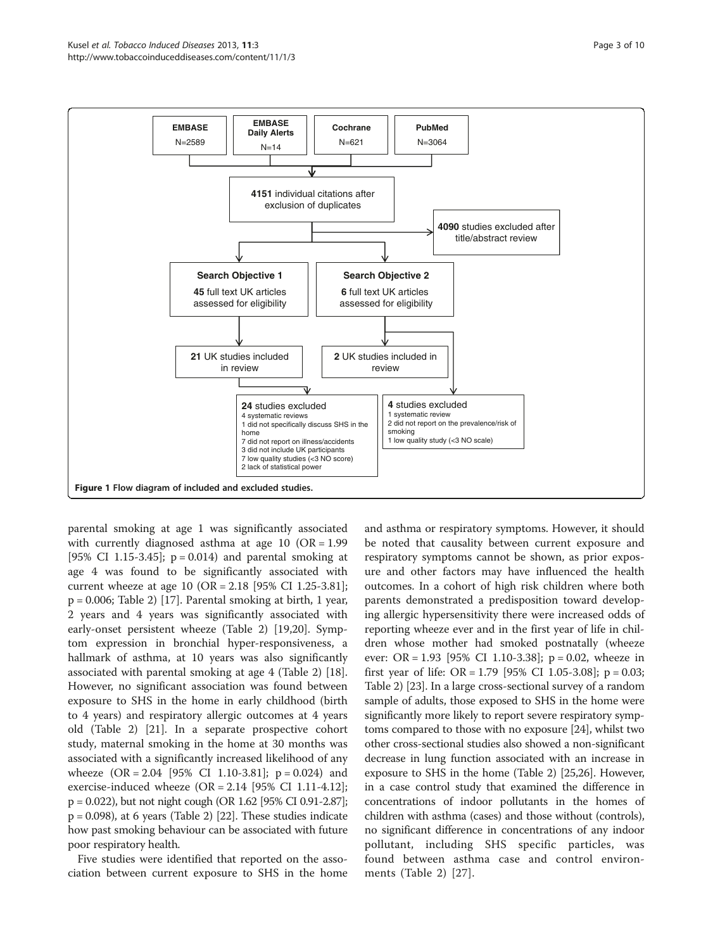<span id="page-2-0"></span>

parental smoking at age 1 was significantly associated with currently diagnosed asthma at age  $10$  (OR = 1.99) [95% CI 1.15-3.45];  $p = 0.014$ ) and parental smoking at age 4 was found to be significantly associated with current wheeze at age 10 (OR = 2.18 [95% CI 1.25-3.81];  $p = 0.006$ ; Table [2](#page-5-0)) [\[17](#page-9-0)]. Parental smoking at birth, 1 year, 2 years and 4 years was significantly associated with early-onset persistent wheeze (Table [2\)](#page-5-0) [\[19,20\]](#page-9-0). Symptom expression in bronchial hyper-responsiveness, a hallmark of asthma, at 10 years was also significantly associated with parental smoking at age 4 (Table [2\)](#page-5-0) [\[18](#page-9-0)]. However, no significant association was found between exposure to SHS in the home in early childhood (birth to 4 years) and respiratory allergic outcomes at 4 years old (Table [2](#page-5-0)) [[21](#page-9-0)]. In a separate prospective cohort study, maternal smoking in the home at 30 months was associated with a significantly increased likelihood of any wheeze  $(OR = 2.04 [95\% CI 1.10-3.81]; p = 0.024)$  and exercise-induced wheeze  $(OR = 2.14 [95\% CI 1.11-4.12];$ p = 0.022), but not night cough (OR 1.62 [95% CI 0.91-2.87];  $p = 0.098$ ), at 6 years (Table [2\)](#page-5-0) [[22](#page-9-0)]. These studies indicate how past smoking behaviour can be associated with future poor respiratory health.

Five studies were identified that reported on the association between current exposure to SHS in the home

and asthma or respiratory symptoms. However, it should be noted that causality between current exposure and respiratory symptoms cannot be shown, as prior exposure and other factors may have influenced the health outcomes. In a cohort of high risk children where both parents demonstrated a predisposition toward developing allergic hypersensitivity there were increased odds of reporting wheeze ever and in the first year of life in children whose mother had smoked postnatally (wheeze ever: OR = 1.93 [95% CI 1.10-3.38]; p = 0.02, wheeze in first year of life: OR = 1.79 [95% CI 1.05-3.08];  $p = 0.03$ ; Table [2\)](#page-5-0) [\[23](#page-9-0)]. In a large cross-sectional survey of a random sample of adults, those exposed to SHS in the home were significantly more likely to report severe respiratory symptoms compared to those with no exposure [[24](#page-9-0)], whilst two other cross-sectional studies also showed a non-significant decrease in lung function associated with an increase in exposure to SHS in the home (Table [2](#page-5-0)) [\[25,26\]](#page-9-0). However, in a case control study that examined the difference in concentrations of indoor pollutants in the homes of children with asthma (cases) and those without (controls), no significant difference in concentrations of any indoor pollutant, including SHS specific particles, was found between asthma case and control environments (Table [2](#page-5-0)) [[27\]](#page-9-0).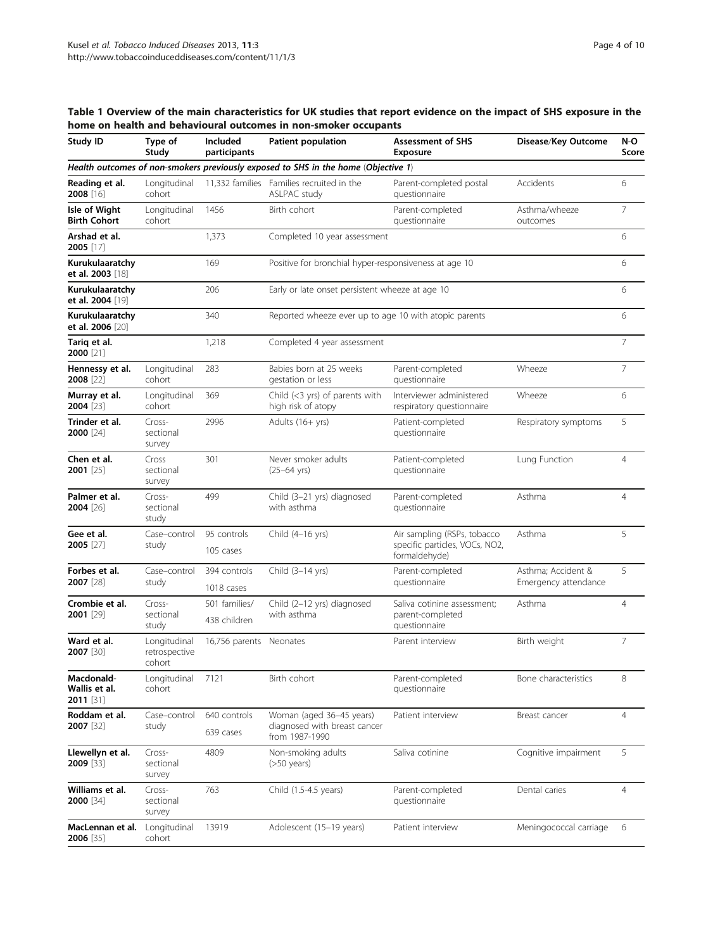| Health outcomes of non-smokers previously exposed to SHS in the home (Objective 1)<br>11,332 families Families recruited in the<br>Parent-completed postal<br>Reading et al.<br>Longitudinal<br>Accidents<br>2008 [16]<br>cohort<br><b>ASLPAC</b> study<br>questionnaire<br>1456<br>Birth cohort<br>Asthma/wheeze<br>Isle of Wight<br>Longitudinal<br>Parent-completed<br><b>Birth Cohort</b><br>cohort<br>questionnaire<br>outcomes<br>1,373<br>Arshad et al.<br>Completed 10 year assessment<br>2005 [17]<br>Kurukulaaratchy<br>Positive for bronchial hyper-responsiveness at age 10<br>169<br>et al. 2003 [18]<br>Kurukulaaratchy<br>206<br>Early or late onset persistent wheeze at age 10<br>et al. 2004 [19]<br>Kurukulaaratchy<br>340<br>Reported wheeze ever up to age 10 with atopic parents<br>et al. 2006 [20]<br>Tariq et al.<br>1,218<br>Completed 4 year assessment<br>2000 [21]<br>283<br>Babies born at 25 weeks<br>Hennessy et al.<br>Longitudinal<br>Parent-completed<br>Wheeze<br>2008 [22]<br>cohort<br>gestation or less<br>questionnaire<br>369<br>Child (<3 yrs) of parents with<br>Interviewer administered<br>Murray et al.<br>Longitudinal<br>Wheeze | N-O<br>Score   |
|---------------------------------------------------------------------------------------------------------------------------------------------------------------------------------------------------------------------------------------------------------------------------------------------------------------------------------------------------------------------------------------------------------------------------------------------------------------------------------------------------------------------------------------------------------------------------------------------------------------------------------------------------------------------------------------------------------------------------------------------------------------------------------------------------------------------------------------------------------------------------------------------------------------------------------------------------------------------------------------------------------------------------------------------------------------------------------------------------------------------------------------------------------------------------------|----------------|
|                                                                                                                                                                                                                                                                                                                                                                                                                                                                                                                                                                                                                                                                                                                                                                                                                                                                                                                                                                                                                                                                                                                                                                                 |                |
|                                                                                                                                                                                                                                                                                                                                                                                                                                                                                                                                                                                                                                                                                                                                                                                                                                                                                                                                                                                                                                                                                                                                                                                 | 6              |
|                                                                                                                                                                                                                                                                                                                                                                                                                                                                                                                                                                                                                                                                                                                                                                                                                                                                                                                                                                                                                                                                                                                                                                                 | 7              |
|                                                                                                                                                                                                                                                                                                                                                                                                                                                                                                                                                                                                                                                                                                                                                                                                                                                                                                                                                                                                                                                                                                                                                                                 | 6              |
|                                                                                                                                                                                                                                                                                                                                                                                                                                                                                                                                                                                                                                                                                                                                                                                                                                                                                                                                                                                                                                                                                                                                                                                 | 6              |
|                                                                                                                                                                                                                                                                                                                                                                                                                                                                                                                                                                                                                                                                                                                                                                                                                                                                                                                                                                                                                                                                                                                                                                                 | 6              |
|                                                                                                                                                                                                                                                                                                                                                                                                                                                                                                                                                                                                                                                                                                                                                                                                                                                                                                                                                                                                                                                                                                                                                                                 | 6              |
|                                                                                                                                                                                                                                                                                                                                                                                                                                                                                                                                                                                                                                                                                                                                                                                                                                                                                                                                                                                                                                                                                                                                                                                 | $\overline{7}$ |
|                                                                                                                                                                                                                                                                                                                                                                                                                                                                                                                                                                                                                                                                                                                                                                                                                                                                                                                                                                                                                                                                                                                                                                                 | $\overline{7}$ |
| 2004 [23]<br>high risk of atopy<br>cohort<br>respiratory questionnaire                                                                                                                                                                                                                                                                                                                                                                                                                                                                                                                                                                                                                                                                                                                                                                                                                                                                                                                                                                                                                                                                                                          | 6              |
| Trinder et al.<br>Cross-<br>2996<br>Adults (16+ yrs)<br>Patient-completed<br>Respiratory symptoms<br>2000 [24]<br>sectional<br>questionnaire<br>survey                                                                                                                                                                                                                                                                                                                                                                                                                                                                                                                                                                                                                                                                                                                                                                                                                                                                                                                                                                                                                          | 5              |
| Lung Function<br>Chen et al.<br>Cross<br>301<br>Never smoker adults<br>Patient-completed<br>2001 [25]<br>$(25 - 64 \text{ yrs})$<br>questionnaire<br>sectional<br>survey                                                                                                                                                                                                                                                                                                                                                                                                                                                                                                                                                                                                                                                                                                                                                                                                                                                                                                                                                                                                        | $\overline{4}$ |
| Asthma<br>Palmer et al.<br>Cross-<br>499<br>Child (3-21 yrs) diagnosed<br>Parent-completed<br>with asthma<br>2004 [26]<br>sectional<br>questionnaire<br>study                                                                                                                                                                                                                                                                                                                                                                                                                                                                                                                                                                                                                                                                                                                                                                                                                                                                                                                                                                                                                   | $\overline{4}$ |
| 95 controls<br>Child (4-16 yrs)<br>Air sampling (RSPs, tobacco<br>Asthma<br>Gee et al.<br>Case-control<br>2005 [27]<br>specific particles, VOCs, NO2,<br>study                                                                                                                                                                                                                                                                                                                                                                                                                                                                                                                                                                                                                                                                                                                                                                                                                                                                                                                                                                                                                  | 5              |
| 105 cases<br>formaldehyde)                                                                                                                                                                                                                                                                                                                                                                                                                                                                                                                                                                                                                                                                                                                                                                                                                                                                                                                                                                                                                                                                                                                                                      |                |
| Child (3-14 yrs)<br>Parent-completed<br>Asthma; Accident &<br>Forbes et al.<br>Case-control<br>394 controls<br>2007 [28]<br>questionnaire<br>study<br>Emergency attendance<br>1018 cases                                                                                                                                                                                                                                                                                                                                                                                                                                                                                                                                                                                                                                                                                                                                                                                                                                                                                                                                                                                        | 5              |
| Crombie et al.<br>Cross-<br>Child (2-12 yrs) diagnosed<br>Saliva cotinine assessment;<br>501 families/<br>Asthma                                                                                                                                                                                                                                                                                                                                                                                                                                                                                                                                                                                                                                                                                                                                                                                                                                                                                                                                                                                                                                                                | $\overline{4}$ |
| with asthma<br>2001 [29]<br>sectional<br>parent-completed<br>438 children<br>questionnaire<br>study                                                                                                                                                                                                                                                                                                                                                                                                                                                                                                                                                                                                                                                                                                                                                                                                                                                                                                                                                                                                                                                                             |                |
| Ward et al.<br>Longitudinal<br>16,756 parents Neonates<br>Parent interview<br>Birth weight<br>2007 [30]<br>retrospective<br>cohort                                                                                                                                                                                                                                                                                                                                                                                                                                                                                                                                                                                                                                                                                                                                                                                                                                                                                                                                                                                                                                              | $\overline{7}$ |
| Macdonald-<br>Parent-completed<br>Bone characteristics<br>Longitudinal<br>7121<br>Birth cohort<br>Wallis et al.<br>cohort<br>questionnaire<br>2011 [31]                                                                                                                                                                                                                                                                                                                                                                                                                                                                                                                                                                                                                                                                                                                                                                                                                                                                                                                                                                                                                         | 8              |
| Roddam et al.<br>Case-control<br>640 controls<br>Woman (aged 36-45 years)<br>Patient interview<br>Breast cancer                                                                                                                                                                                                                                                                                                                                                                                                                                                                                                                                                                                                                                                                                                                                                                                                                                                                                                                                                                                                                                                                 | 4              |
| diagnosed with breast cancer<br>2007 [32]<br>study<br>639 cases<br>from 1987-1990                                                                                                                                                                                                                                                                                                                                                                                                                                                                                                                                                                                                                                                                                                                                                                                                                                                                                                                                                                                                                                                                                               |                |
| Cognitive impairment<br>Llewellyn et al.<br>Cross-<br>4809<br>Non-smoking adults<br>Saliva cotinine<br>2009 [33]<br>sectional<br>$($ >50 years $)$<br>survey                                                                                                                                                                                                                                                                                                                                                                                                                                                                                                                                                                                                                                                                                                                                                                                                                                                                                                                                                                                                                    | 5              |
| Williams et al.<br>Cross-<br>763<br>Child (1.5-4.5 years)<br>Parent-completed<br>Dental caries<br>2000 [34]<br>sectional<br>questionnaire<br>survey                                                                                                                                                                                                                                                                                                                                                                                                                                                                                                                                                                                                                                                                                                                                                                                                                                                                                                                                                                                                                             | 4              |
| MacLennan et al.<br>Longitudinal<br>13919<br>Adolescent (15-19 years)<br>Meningococcal carriage<br>Patient interview<br>2006 [35]<br>cohort                                                                                                                                                                                                                                                                                                                                                                                                                                                                                                                                                                                                                                                                                                                                                                                                                                                                                                                                                                                                                                     | 6              |

# <span id="page-3-0"></span>Table 1 Overview of the main characteristics for UK studies that report evidence on the impact of SHS exposure in the home on health and behavioural outcomes in non-smoker occupants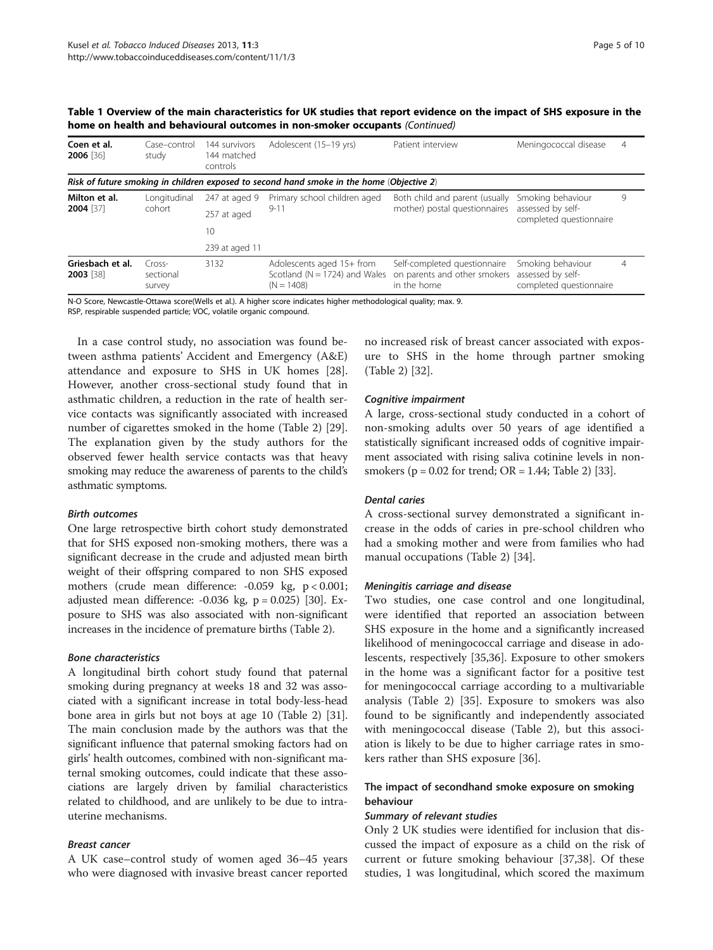| Coen et al.<br>2006 [36]      | Case-control<br>study         | 144 survivors<br>144 matched<br>controls | Adolescent (15-19 yrs)                                                                    | Patient interview                                                           | Meningococcal disease                                             | 4 |
|-------------------------------|-------------------------------|------------------------------------------|-------------------------------------------------------------------------------------------|-----------------------------------------------------------------------------|-------------------------------------------------------------------|---|
|                               |                               |                                          | Risk of future smoking in children exposed to second hand smoke in the home (Objective 2) |                                                                             |                                                                   |   |
| Milton et al.<br>2004 [37]    | Longitudinal<br>cohort        | 247 at aged 9                            | Primary school children aged<br>$9 - 11$                                                  | Both child and parent (usually<br>mother) postal questionnaires             | Smoking behaviour<br>assessed by self-<br>completed questionnaire | 9 |
|                               |                               | 257 at aged                              |                                                                                           |                                                                             |                                                                   |   |
|                               |                               | 10                                       |                                                                                           |                                                                             |                                                                   |   |
|                               |                               | 239 at aged 11                           |                                                                                           |                                                                             |                                                                   |   |
| Griesbach et al.<br>2003 [38] | Cross-<br>sectional<br>survey | 3132                                     | Adolescents aged 15+ from<br>Scotland ( $N = 1724$ ) and Wales<br>$(N = 1408)$            | Self-completed questionnaire<br>on parents and other smokers<br>in the home | Smoking behaviour<br>assessed by self-<br>completed questionnaire | 4 |

Table 1 Overview of the main characteristics for UK studies that report evidence on the impact of SHS exposure in the home on health and behavioural outcomes in non-smoker occupants (Continued)

N-O Score, Newcastle-Ottawa score(Wells et al.). A higher score indicates higher methodological quality; max. 9. RSP, respirable suspended particle; VOC, volatile organic compound.

In a case control study, no association was found between asthma patients' Accident and Emergency (A&E) attendance and exposure to SHS in UK homes [\[28](#page-9-0)]. However, another cross-sectional study found that in asthmatic children, a reduction in the rate of health service contacts was significantly associated with increased number of cigarettes smoked in the home (Table [2\)](#page-5-0) [\[29](#page-9-0)]. The explanation given by the study authors for the observed fewer health service contacts was that heavy smoking may reduce the awareness of parents to the child's asthmatic symptoms.

#### Birth outcomes

One large retrospective birth cohort study demonstrated that for SHS exposed non-smoking mothers, there was a significant decrease in the crude and adjusted mean birth weight of their offspring compared to non SHS exposed mothers (crude mean difference: -0.059 kg, p < 0.001; adjusted mean difference:  $-0.036$  kg,  $p = 0.025$  [[30](#page-9-0)]. Exposure to SHS was also associated with non-significant increases in the incidence of premature births (Table [2](#page-5-0)).

#### Bone characteristics

A longitudinal birth cohort study found that paternal smoking during pregnancy at weeks 18 and 32 was associated with a significant increase in total body-less-head bone area in girls but not boys at age 10 (Table [2\)](#page-5-0) [[31](#page-9-0)]. The main conclusion made by the authors was that the significant influence that paternal smoking factors had on girls' health outcomes, combined with non-significant maternal smoking outcomes, could indicate that these associations are largely driven by familial characteristics related to childhood, and are unlikely to be due to intrauterine mechanisms.

#### Breast cancer

A UK case–control study of women aged 36–45 years who were diagnosed with invasive breast cancer reported no increased risk of breast cancer associated with exposure to SHS in the home through partner smoking (Table [2\)](#page-5-0) [[32](#page-9-0)].

## Cognitive impairment

A large, cross-sectional study conducted in a cohort of non-smoking adults over 50 years of age identified a statistically significant increased odds of cognitive impairment associated with rising saliva cotinine levels in nonsmokers ( $p = 0.02$  for trend; OR = 1.44; Table [2](#page-5-0)) [[33](#page-9-0)].

#### Dental caries

A cross-sectional survey demonstrated a significant increase in the odds of caries in pre-school children who had a smoking mother and were from families who had manual occupations (Table [2\)](#page-5-0) [\[34](#page-9-0)].

#### Meningitis carriage and disease

Two studies, one case control and one longitudinal, were identified that reported an association between SHS exposure in the home and a significantly increased likelihood of meningococcal carriage and disease in adolescents, respectively [\[35,36](#page-9-0)]. Exposure to other smokers in the home was a significant factor for a positive test for meningococcal carriage according to a multivariable analysis (Table [2](#page-5-0)) [[35](#page-9-0)]. Exposure to smokers was also found to be significantly and independently associated with meningococcal disease (Table [2](#page-5-0)), but this association is likely to be due to higher carriage rates in smokers rather than SHS exposure [[36](#page-9-0)].

# The impact of secondhand smoke exposure on smoking behaviour

#### Summary of relevant studies

Only 2 UK studies were identified for inclusion that discussed the impact of exposure as a child on the risk of current or future smoking behaviour [\[37,38](#page-9-0)]. Of these studies, 1 was longitudinal, which scored the maximum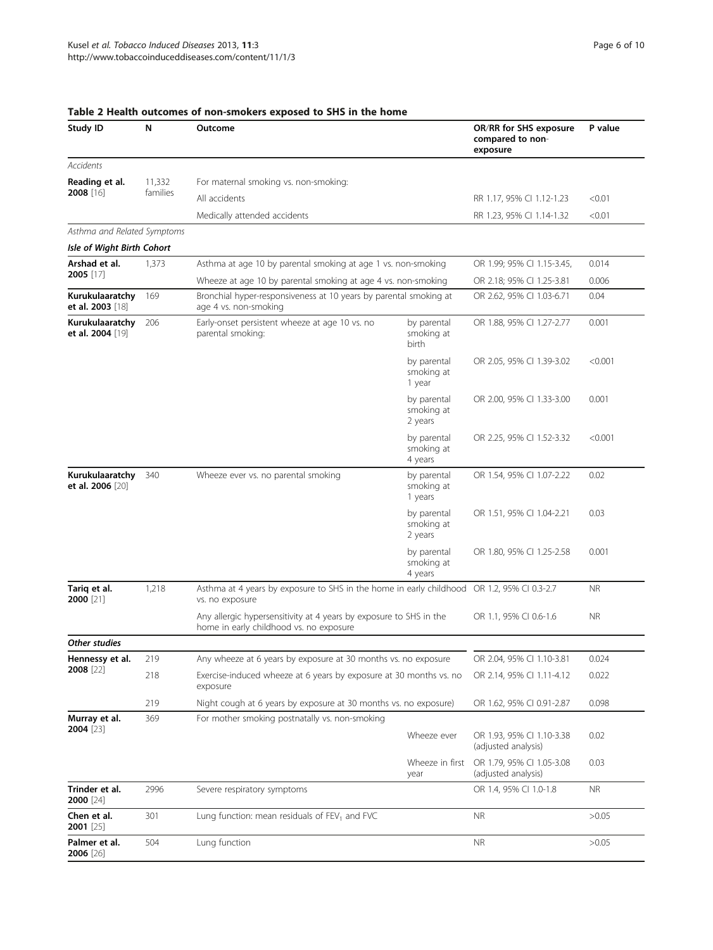| Study ID                            | Ν                  | Outcome                                                                                                                                                                                                 |                                      | OR/RR for SHS exposure<br>compared to non-<br>exposure | P value   |
|-------------------------------------|--------------------|---------------------------------------------------------------------------------------------------------------------------------------------------------------------------------------------------------|--------------------------------------|--------------------------------------------------------|-----------|
| Accidents                           |                    |                                                                                                                                                                                                         |                                      |                                                        |           |
| Reading et al.                      | 11,332<br>families | For maternal smoking vs. non-smoking:                                                                                                                                                                   |                                      |                                                        |           |
| 2008 [16]                           |                    | All accidents                                                                                                                                                                                           |                                      | RR 1.17, 95% CI 1.12-1.23                              | < 0.01    |
|                                     |                    | Medically attended accidents                                                                                                                                                                            |                                      | RR 1.23, 95% CI 1.14-1.32                              | < 0.01    |
| Asthma and Related Symptoms         |                    |                                                                                                                                                                                                         |                                      |                                                        |           |
| Isle of Wight Birth Cohort          |                    |                                                                                                                                                                                                         |                                      |                                                        |           |
| Arshad et al.                       | 1,373              | Asthma at age 10 by parental smoking at age 1 vs. non-smoking                                                                                                                                           |                                      | OR 1.99; 95% CI 1.15-3.45,                             | 0.014     |
| 2005 [17]                           |                    | Wheeze at age 10 by parental smoking at age 4 vs. non-smoking                                                                                                                                           |                                      | OR 2.18; 95% CI 1.25-3.81                              | 0.006     |
| Kurukulaaratchy<br>et al. 2003 [18] | 169                | Bronchial hyper-responsiveness at 10 years by parental smoking at<br>age 4 vs. non-smoking                                                                                                              |                                      | OR 2.62, 95% CI 1.03-6.71                              | 0.04      |
| Kurukulaaratchy<br>et al. 2004 [19] | 206                | Early-onset persistent wheeze at age 10 vs. no<br>parental smoking:                                                                                                                                     | by parental<br>smoking at<br>birth   | OR 1.88, 95% CI 1.27-2.77                              | 0.001     |
|                                     |                    |                                                                                                                                                                                                         | by parental<br>smoking at<br>1 year  | OR 2.05, 95% CI 1.39-3.02                              | < 0.001   |
|                                     |                    |                                                                                                                                                                                                         | by parental<br>smoking at<br>2 years | OR 2.00, 95% CI 1.33-3.00                              | 0.001     |
|                                     |                    |                                                                                                                                                                                                         | by parental<br>smoking at<br>4 years | OR 2.25, 95% CI 1.52-3.32                              | < 0.001   |
| Kurukulaaratchy<br>et al. 2006 [20] | 340                | Wheeze ever vs. no parental smoking                                                                                                                                                                     | by parental<br>smoking at<br>1 years | OR 1.54, 95% CI 1.07-2.22                              | 0.02      |
|                                     |                    |                                                                                                                                                                                                         | by parental<br>smoking at<br>2 years | OR 1.51, 95% CI 1.04-2.21                              | 0.03      |
|                                     |                    |                                                                                                                                                                                                         | by parental<br>smoking at<br>4 years | OR 1.80, 95% CI 1.25-2.58                              | 0.001     |
| Tariq et al.<br>2000 [21]           | 1,218              | Asthma at 4 years by exposure to SHS in the home in early childhood<br>vs. no exposure<br>Any allergic hypersensitivity at 4 years by exposure to SHS in the<br>home in early childhood vs. no exposure |                                      | OR 1.2, 95% CI 0.3-2.7                                 | <b>NR</b> |
|                                     |                    |                                                                                                                                                                                                         |                                      | OR 1.1, 95% CI 0.6-1.6                                 | <b>NR</b> |
| Other studies                       |                    |                                                                                                                                                                                                         |                                      |                                                        |           |
| Hennessy et al.                     | 219                | Any wheeze at 6 years by exposure at 30 months vs. no exposure                                                                                                                                          |                                      | OR 2.04, 95% CI 1.10-3.81                              | 0.024     |
| 2008 [22]                           | 218                | Exercise-induced wheeze at 6 years by exposure at 30 months vs. no<br>exposure                                                                                                                          | OR 2.14, 95% CI 1.11-4.12            | 0.022                                                  |           |
|                                     | 219                | Night cough at 6 years by exposure at 30 months vs. no exposure)                                                                                                                                        |                                      | OR 1.62, 95% CI 0.91-2.87                              | 0.098     |
| Murray et al.                       | 369                | For mother smoking postnatally vs. non-smoking                                                                                                                                                          |                                      |                                                        |           |
| 2004 [23]                           |                    |                                                                                                                                                                                                         | Wheeze ever                          | OR 1.93, 95% CI 1.10-3.38<br>(adjusted analysis)       | 0.02      |
|                                     |                    |                                                                                                                                                                                                         | Wheeze in first<br>year              | OR 1.79, 95% CI 1.05-3.08<br>(adjusted analysis)       | 0.03      |
| Trinder et al.<br>2000 [24]         | 2996               | Severe respiratory symptoms                                                                                                                                                                             |                                      | OR 1.4, 95% CI 1.0-1.8                                 | <b>NR</b> |
| Chen et al.<br>2001 [25]            | 301                | Lung function: mean residuals of $FEV1$ and $FVC$                                                                                                                                                       |                                      | <b>NR</b>                                              | >0.05     |
| Palmer et al.<br>2006 [26]          | 504                | Lung function                                                                                                                                                                                           |                                      | <b>NR</b>                                              | >0.05     |

# <span id="page-5-0"></span>Table 2 Health outcomes of non-smokers exposed to SHS in the home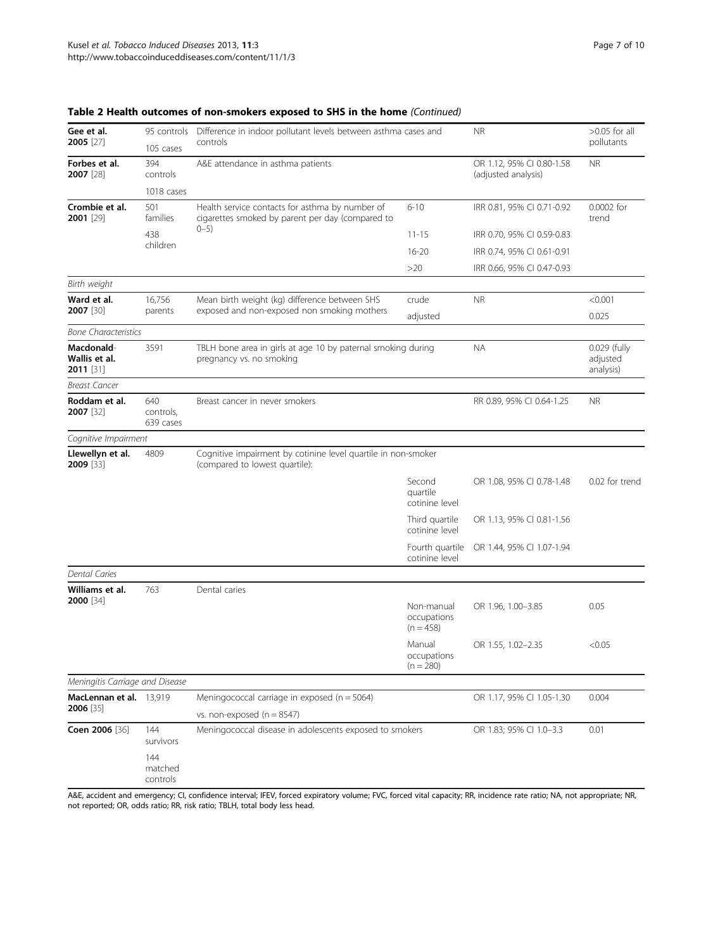| Gee et al.<br>2005 [27]                  | 95 controls<br>105 cases      | Difference in indoor pollutant levels between asthma cases and<br>controls                          |                                          | <b>NR</b>                                        | $>0.05$ for all<br>pollutants         |  |  |
|------------------------------------------|-------------------------------|-----------------------------------------------------------------------------------------------------|------------------------------------------|--------------------------------------------------|---------------------------------------|--|--|
| Forbes et al.<br>2007 [28]               | 394<br>controls               | A&E attendance in asthma patients                                                                   |                                          | OR 1.12, 95% CI 0.80-1.58<br>(adjusted analysis) | NR                                    |  |  |
|                                          | 1018 cases                    |                                                                                                     |                                          |                                                  |                                       |  |  |
| Crombie et al.<br>2001 [29]              | 501<br>families               | Health service contacts for asthma by number of<br>cigarettes smoked by parent per day (compared to | $6 - 10$                                 | IRR 0.81, 95% CI 0.71-0.92                       | 0.0002 for<br>trend                   |  |  |
|                                          | 438<br>children               | $0 - 5$                                                                                             | $11 - 15$                                | IRR 0.70, 95% CI 0.59-0.83                       |                                       |  |  |
|                                          |                               |                                                                                                     | $16 - 20$                                | IRR 0.74, 95% CI 0.61-0.91                       |                                       |  |  |
|                                          |                               |                                                                                                     | >20                                      | IRR 0.66, 95% CI 0.47-0.93                       |                                       |  |  |
| Birth weight                             |                               |                                                                                                     |                                          |                                                  |                                       |  |  |
| Ward et al.                              | 16,756<br>parents             | Mean birth weight (kg) difference between SHS<br>exposed and non-exposed non smoking mothers        | crude                                    | <b>NR</b>                                        | < 0.001                               |  |  |
| 2007 [30]                                |                               |                                                                                                     | adjusted                                 |                                                  | 0.025                                 |  |  |
| <b>Bone Characteristics</b>              |                               |                                                                                                     |                                          |                                                  |                                       |  |  |
| Macdonald-<br>Wallis et al.<br>2011 [31] | 3591                          | TBLH bone area in girls at age 10 by paternal smoking during<br>pregnancy vs. no smoking            |                                          | <b>NA</b>                                        | 0.029 (fully<br>adjusted<br>analysis) |  |  |
| <b>Breast Cancer</b>                     |                               |                                                                                                     |                                          |                                                  |                                       |  |  |
| Roddam et al.<br>2007 [32]               | 640<br>controls,<br>639 cases | Breast cancer in never smokers                                                                      |                                          | RR 0.89, 95% CI 0.64-1.25                        | <b>NR</b>                             |  |  |
| Cognitive Impairment                     |                               |                                                                                                     |                                          |                                                  |                                       |  |  |
| Llewellyn et al.<br>2009 [33]            | 4809                          | Cognitive impairment by cotinine level quartile in non-smoker<br>(compared to lowest quartile):     |                                          |                                                  |                                       |  |  |
|                                          |                               |                                                                                                     | Second<br>quartile<br>cotinine level     | OR 1.08, 95% CI 0.78-1.48                        | 0.02 for trend                        |  |  |
|                                          |                               |                                                                                                     | Third quartile<br>cotinine level         | OR 1.13, 95% CI 0.81-1.56                        |                                       |  |  |
|                                          |                               |                                                                                                     | Fourth quartile<br>cotinine level        | OR 1.44, 95% CI 1.07-1.94                        |                                       |  |  |
| <b>Dental Caries</b>                     |                               |                                                                                                     |                                          |                                                  |                                       |  |  |
| Williams et al.<br>2000 [34]             | 763                           | Dental caries                                                                                       |                                          |                                                  |                                       |  |  |
|                                          |                               |                                                                                                     | Non-manual<br>occupations<br>$(n = 458)$ | OR 1.96, 1.00-3.85                               | 0.05                                  |  |  |
|                                          |                               |                                                                                                     | Manual<br>occupations<br>$(n = 280)$     | OR 1.55, 1.02-2.35                               | < 0.05                                |  |  |
| Meningitis Carriage and Disease          |                               |                                                                                                     |                                          |                                                  |                                       |  |  |
| MacLennan et al. 13,919                  |                               | Meningococcal carriage in exposed ( $n = 5064$ )                                                    |                                          | OR 1.17, 95% CI 1.05-1.30                        | 0.004                                 |  |  |
| 2006 [35]                                |                               | vs. non-exposed ( $n = 8547$ )                                                                      |                                          |                                                  |                                       |  |  |
| Coen 2006 [36]                           | 144<br>survivors              | Meningococcal disease in adolescents exposed to smokers                                             | OR 1.83; 95% CI 1.0-3.3                  | 0.01                                             |                                       |  |  |
|                                          | 144<br>matched<br>controls    |                                                                                                     |                                          |                                                  |                                       |  |  |

# Table 2 Health outcomes of non-smokers exposed to SHS in the home (Continued)

A&E, accident and emergency; CI, confidence interval; IFEV, forced expiratory volume; FVC, forced vital capacity; RR, incidence rate ratio; NA, not appropriate; NR, not reported; OR, odds ratio; RR, risk ratio; TBLH, total body less head.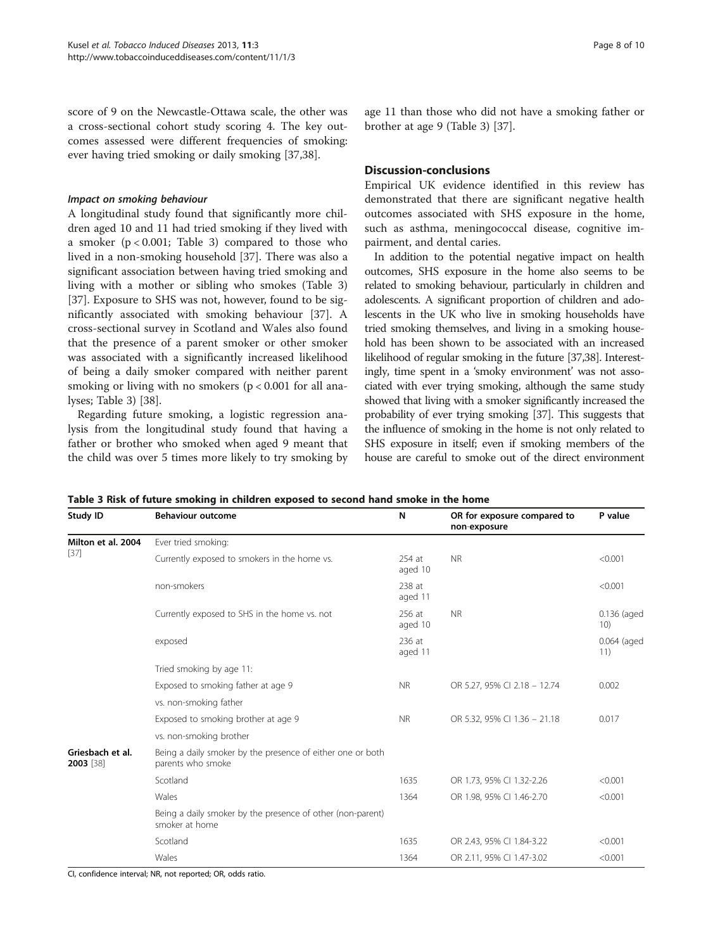score of 9 on the Newcastle-Ottawa scale, the other was a cross-sectional cohort study scoring 4. The key outcomes assessed were different frequencies of smoking: ever having tried smoking or daily smoking [[37](#page-9-0),[38](#page-9-0)].

#### Impact on smoking behaviour

A longitudinal study found that significantly more children aged 10 and 11 had tried smoking if they lived with a smoker  $(p < 0.001$ ; Table 3) compared to those who lived in a non-smoking household [\[37](#page-9-0)]. There was also a significant association between having tried smoking and living with a mother or sibling who smokes (Table 3) [[37\]](#page-9-0). Exposure to SHS was not, however, found to be significantly associated with smoking behaviour [\[37](#page-9-0)]. A cross-sectional survey in Scotland and Wales also found that the presence of a parent smoker or other smoker was associated with a significantly increased likelihood of being a daily smoker compared with neither parent smoking or living with no smokers  $(p < 0.001$  for all analyses; Table 3) [[38\]](#page-9-0).

Regarding future smoking, a logistic regression analysis from the longitudinal study found that having a father or brother who smoked when aged 9 meant that the child was over 5 times more likely to try smoking by

age 11 than those who did not have a smoking father or brother at age 9 (Table 3) [\[37](#page-9-0)].

# Discussion-conclusions

Empirical UK evidence identified in this review has demonstrated that there are significant negative health outcomes associated with SHS exposure in the home, such as asthma, meningococcal disease, cognitive impairment, and dental caries.

In addition to the potential negative impact on health outcomes, SHS exposure in the home also seems to be related to smoking behaviour, particularly in children and adolescents. A significant proportion of children and adolescents in the UK who live in smoking households have tried smoking themselves, and living in a smoking household has been shown to be associated with an increased likelihood of regular smoking in the future [\[37,38\]](#page-9-0). Interestingly, time spent in a 'smoky environment' was not associated with ever trying smoking, although the same study showed that living with a smoker significantly increased the probability of ever trying smoking [\[37](#page-9-0)]. This suggests that the influence of smoking in the home is not only related to SHS exposure in itself; even if smoking members of the house are careful to smoke out of the direct environment

Table 3 Risk of future smoking in children exposed to second hand smoke in the home

| Study ID                      | <b>Behaviour outcome</b>                                                        | N                 | OR for exposure compared to<br>non-exposure | P value            |  |  |  |
|-------------------------------|---------------------------------------------------------------------------------|-------------------|---------------------------------------------|--------------------|--|--|--|
| Milton et al. 2004<br>$[37]$  | Ever tried smoking:                                                             |                   |                                             |                    |  |  |  |
|                               | Currently exposed to smokers in the home vs.                                    | 254 at<br>aged 10 | <b>NR</b>                                   | < 0.001            |  |  |  |
|                               | non-smokers                                                                     | 238 at<br>aged 11 |                                             | < 0.001            |  |  |  |
|                               | Currently exposed to SHS in the home vs. not                                    | 256 at<br>aged 10 | <b>NR</b>                                   | 0.136 (aged<br>10) |  |  |  |
|                               | exposed                                                                         | 236 at<br>aged 11 |                                             | 0.064 (aged<br>11) |  |  |  |
|                               | Tried smoking by age 11:                                                        |                   |                                             |                    |  |  |  |
|                               | Exposed to smoking father at age 9                                              | <b>NR</b>         | OR 5.27, 95% CI 2.18 - 12.74                | 0.002              |  |  |  |
|                               | vs. non-smoking father                                                          |                   |                                             |                    |  |  |  |
|                               | Exposed to smoking brother at age 9                                             | <b>NR</b>         | OR 5.32, 95% CI 1.36 - 21.18                | 0.017              |  |  |  |
|                               | vs. non-smoking brother                                                         |                   |                                             |                    |  |  |  |
| Griesbach et al.<br>2003 [38] | Being a daily smoker by the presence of either one or both<br>parents who smoke |                   |                                             |                    |  |  |  |
|                               | Scotland                                                                        | 1635              | OR 1.73, 95% CI 1.32-2.26                   | < 0.001            |  |  |  |
|                               | Wales                                                                           | 1364              | OR 1.98, 95% CI 1.46-2.70                   | < 0.001            |  |  |  |
|                               | Being a daily smoker by the presence of other (non-parent)<br>smoker at home    |                   |                                             |                    |  |  |  |
|                               | Scotland                                                                        | 1635              | OR 2.43, 95% CI 1.84-3.22                   | < 0.001            |  |  |  |
|                               | Wales                                                                           | 1364              | OR 2.11, 95% CI 1.47-3.02                   | < 0.001            |  |  |  |

CI, confidence interval; NR, not reported; OR, odds ratio.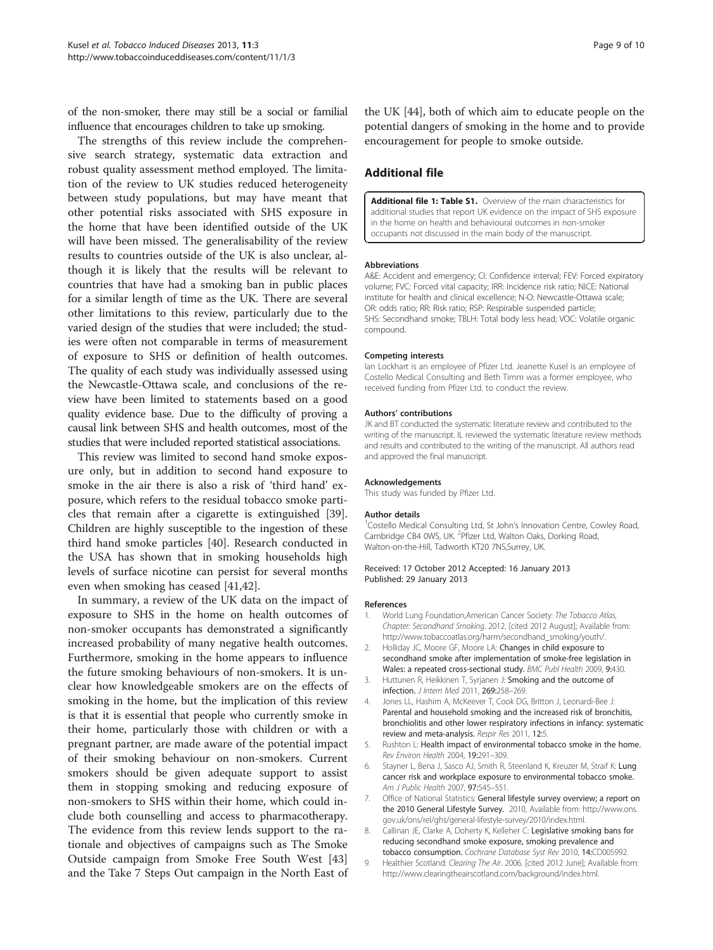<span id="page-8-0"></span>of the non-smoker, there may still be a social or familial influence that encourages children to take up smoking.

The strengths of this review include the comprehensive search strategy, systematic data extraction and robust quality assessment method employed. The limitation of the review to UK studies reduced heterogeneity between study populations, but may have meant that other potential risks associated with SHS exposure in the home that have been identified outside of the UK will have been missed. The generalisability of the review results to countries outside of the UK is also unclear, although it is likely that the results will be relevant to countries that have had a smoking ban in public places for a similar length of time as the UK. There are several other limitations to this review, particularly due to the varied design of the studies that were included; the studies were often not comparable in terms of measurement of exposure to SHS or definition of health outcomes. The quality of each study was individually assessed using the Newcastle-Ottawa scale, and conclusions of the review have been limited to statements based on a good quality evidence base. Due to the difficulty of proving a causal link between SHS and health outcomes, most of the studies that were included reported statistical associations.

This review was limited to second hand smoke exposure only, but in addition to second hand exposure to smoke in the air there is also a risk of 'third hand' exposure, which refers to the residual tobacco smoke particles that remain after a cigarette is extinguished [\[39](#page-9-0)]. Children are highly susceptible to the ingestion of these third hand smoke particles [[40](#page-9-0)]. Research conducted in the USA has shown that in smoking households high levels of surface nicotine can persist for several months even when smoking has ceased [\[41,42](#page-9-0)].

In summary, a review of the UK data on the impact of exposure to SHS in the home on health outcomes of non-smoker occupants has demonstrated a significantly increased probability of many negative health outcomes. Furthermore, smoking in the home appears to influence the future smoking behaviours of non-smokers. It is unclear how knowledgeable smokers are on the effects of smoking in the home, but the implication of this review is that it is essential that people who currently smoke in their home, particularly those with children or with a pregnant partner, are made aware of the potential impact of their smoking behaviour on non-smokers. Current smokers should be given adequate support to assist them in stopping smoking and reducing exposure of non-smokers to SHS within their home, which could include both counselling and access to pharmacotherapy. The evidence from this review lends support to the rationale and objectives of campaigns such as The Smoke Outside campaign from Smoke Free South West [[43](#page-9-0)] and the Take 7 Steps Out campaign in the North East of

the UK [\[44](#page-9-0)], both of which aim to educate people on the potential dangers of smoking in the home and to provide encouragement for people to smoke outside.

#### Additional file

[Additional file 1: Table S1.](http://www.biomedcentral.com/content/supplementary/1617-9625-11-3-S1.docx) Overview of the main characteristics for additional studies that report UK evidence on the impact of SHS exposure in the home on health and behavioural outcomes in non-smoker occupants not discussed in the main body of the manuscript.

#### Abbreviations

A&E: Accident and emergency; CI: Confidence interval; FEV: Forced expiratory volume; FVC: Forced vital capacity; IRR: Incidence risk ratio; NICE: National institute for health and clinical excellence; N-O: Newcastle-Ottawa scale; OR: odds ratio; RR: Risk ratio; RSP: Respirable suspended particle; SHS: Secondhand smoke; TBLH: Total body less head; VOC: Volatile organic compound.

#### Competing interests

Ian Lockhart is an employee of Pfizer Ltd. Jeanette Kusel is an employee of Costello Medical Consulting and Beth Timm was a former employee, who received funding from Pfizer Ltd. to conduct the review.

#### Authors' contributions

JK and BT conducted the systematic literature review and contributed to the writing of the manuscript. IL reviewed the systematic literature review methods and results and contributed to the writing of the manuscript. All authors read and approved the final manuscript.

#### Acknowledgements

This study was funded by Pfizer Ltd.

#### Author details

<sup>1</sup>Costello Medical Consulting Ltd, St John's Innovation Centre, Cowley Road Cambridge CB4 0WS, UK. <sup>2</sup>Pfizer Ltd, Walton Oaks, Dorking Road, Walton-on-the-Hill, Tadworth KT20 7NS,Surrey, UK.

#### Received: 17 October 2012 Accepted: 16 January 2013 Published: 29 January 2013

#### References

- 1. World Lung Foundation, American Cancer Society: The Tobacco Atlas, Chapter: Secondhand Smoking. 2012. [cited 2012 August]; Available from: [http://www.tobaccoatlas.org/harm/secondhand\\_smoking/youth/.](http://www.tobaccoatlas.org/harm/secondhand_smoking/youth/)
- 2. Holliday JC, Moore GF, Moore LA: Changes in child exposure to secondhand smoke after implementation of smoke-free legislation in Wales: a repeated cross-sectional study. BMC Publ Health 2009, 9:430.
- 3. Huttunen R, Heikkinen T, Syrjanen J: Smoking and the outcome of infection. J Intern Med 2011, 269:258–269.
- 4. Jones LL, Hashim A, McKeever T, Cook DG, Britton J, Leonardi-Bee J: Parental and household smoking and the increased risk of bronchitis, bronchiolitis and other lower respiratory infections in infancy: systematic review and meta-analysis. Respir Res 2011, 12:5.
- 5. Rushton L: Health impact of environmental tobacco smoke in the home. Rev Environ Health 2004, 19:291–309.
- 6. Stayner L, Bena J, Sasco AJ, Smith R, Steenland K, Kreuzer M, Straif K: Lung cancer risk and workplace exposure to environmental tobacco smoke. Am J Public Health 2007, 97:545–551.
- 7. Office of National Statistics: General lifestyle survey overview; a report on the 2010 General Lifestyle Survey. 2010, Available from: [http://www.ons.](http://www.ons.gov.uk/ons/rel/ghs/general-lifestyle-survey/2010/index.html) [gov.uk/ons/rel/ghs/general-lifestyle-survey/2010/index.html.](http://www.ons.gov.uk/ons/rel/ghs/general-lifestyle-survey/2010/index.html)
- 8. Callinan JE, Clarke A, Doherty K, Kelleher C: Legislative smoking bans for reducing secondhand smoke exposure, smoking prevalence and tobacco consumption. Cochrane Database Syst Rev 2010, 14:CD005992.
- 9. Healthier Scotland: Clearing The Air. 2006. [cited 2012 June]; Available from: [http://www.clearingtheairscotland.com/background/index.html.](http://www.clearingtheairscotland.com/background/index.html)